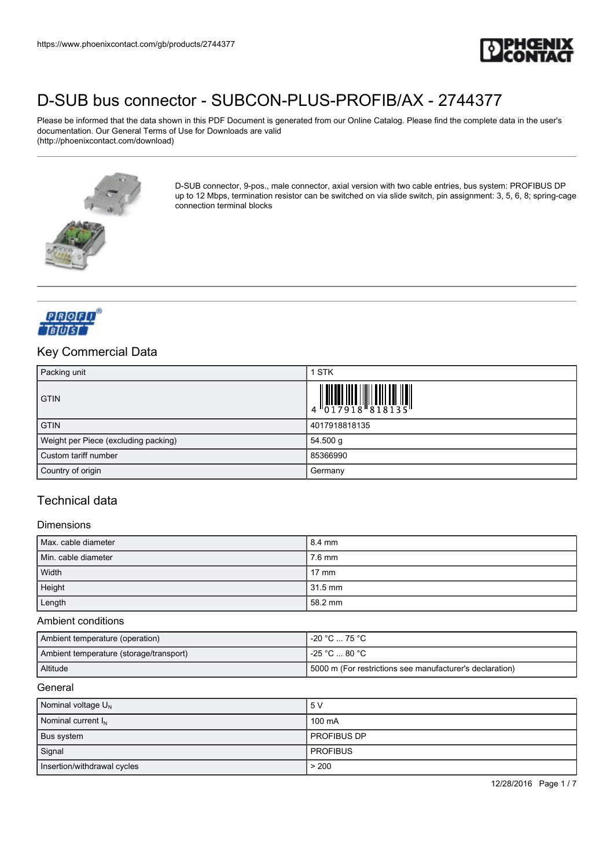

Please be informed that the data shown in this PDF Document is generated from our Online Catalog. Please find the complete data in the user's documentation. Our General Terms of Use for Downloads are valid (http://phoenixcontact.com/download)



D-SUB connector, 9-pos., male connector, axial version with two cable entries, bus system: PROFIBUS DP up to 12 Mbps, termination resistor can be switched on via slide switch, pin assignment: 3, 5, 6, 8; spring-cage connection terminal blocks



## Key Commercial Data

| Packing unit                         | 1 STK                                                                                                                                                                                                                                                                                                                     |
|--------------------------------------|---------------------------------------------------------------------------------------------------------------------------------------------------------------------------------------------------------------------------------------------------------------------------------------------------------------------------|
| <b>GTIN</b>                          | $\begin{array}{c} 1 & 0 & 0 & 0 & 0 \\ 0 & 0 & 1 & 7 & 9 & 1 & 8 \\ 0 & 0 & 1 & 7 & 9 & 1 & 8 \\ 0 & 0 & 0 & 0 & 0 & 0 \\ 0 & 0 & 0 & 0 & 0 & 0 \\ 0 & 0 & 0 & 0 & 0 & 0 \\ 0 & 0 & 0 & 0 & 0 & 0 \\ 0 & 0 & 0 & 0 & 0 & 0 \\ 0 & 0 & 0 & 0 & 0 & 0 & 0 \\ 0 & 0 & 0 & 0 & 0 & 0 & 0 \\ 0 & 0 & 0 & 0 & 0 & 0 & 0 \\ 0 &$ |
| <b>GTIN</b>                          | 4017918818135                                                                                                                                                                                                                                                                                                             |
| Weight per Piece (excluding packing) | 54.500 g                                                                                                                                                                                                                                                                                                                  |
| Custom tariff number                 | 85366990                                                                                                                                                                                                                                                                                                                  |
| Country of origin                    | Germany                                                                                                                                                                                                                                                                                                                   |

### Technical data

#### Dimensions

| Max. cable diameter | $8.4 \text{ mm}$ |
|---------------------|------------------|
| Min. cable diameter | $7.6$ mm         |
| Width               | $17 \text{ mm}$  |
| Height              | 31.5 mm          |
| Length              | 58.2 mm          |

#### Ambient conditions

| Ambient temperature (operation)         | -20 °C  75 °C                                            |
|-----------------------------------------|----------------------------------------------------------|
| Ambient temperature (storage/transport) | -25 °C … 80 °C .                                         |
| Altitude                                | 5000 m (For restrictions see manufacturer's declaration) |

#### **General**

| Nominal voltage $U_N$          | 5 V                |
|--------------------------------|--------------------|
| Nominal current I <sub>N</sub> | 100 mA             |
| Bus system                     | <b>PROFIBUS DP</b> |
| Signal                         | <b>PROFIBUS</b>    |
| Insertion/withdrawal cycles    | > 200              |

12/28/2016 Page 1 / 7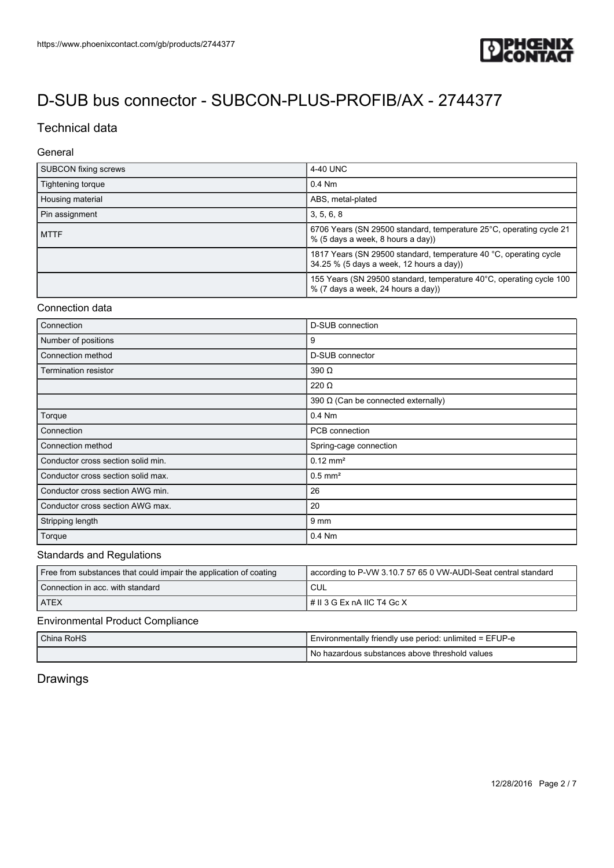

# Technical data

### General

| <b>SUBCON fixing screws</b> | 4-40 UNC                                                                                                      |
|-----------------------------|---------------------------------------------------------------------------------------------------------------|
| Tightening torque           | $0.4$ Nm                                                                                                      |
| Housing material            | ABS, metal-plated                                                                                             |
| Pin assignment              | 3, 5, 6, 8                                                                                                    |
| <b>MTTF</b>                 | 6706 Years (SN 29500 standard, temperature 25°C, operating cycle 21<br>% (5 days a week, 8 hours a day))      |
|                             | 1817 Years (SN 29500 standard, temperature 40 °C, operating cycle<br>34.25 % (5 days a week, 12 hours a day)) |
|                             | 155 Years (SN 29500 standard, temperature 40°C, operating cycle 100<br>% (7 days a week, 24 hours a day))     |

#### Connection data

| Connection                         | D-SUB connection                           |
|------------------------------------|--------------------------------------------|
| Number of positions                | 9                                          |
| Connection method                  | D-SUB connector                            |
| <b>Termination resistor</b>        | $390 \Omega$                               |
|                                    | $220 \Omega$                               |
|                                    | 390 $\Omega$ (Can be connected externally) |
| Torque                             | $0.4$ Nm                                   |
| Connection                         | PCB connection                             |
| Connection method                  | Spring-cage connection                     |
| Conductor cross section solid min. | $0.12 \text{ mm}^2$                        |
| Conductor cross section solid max. | $0.5$ mm <sup>2</sup>                      |
| Conductor cross section AWG min.   | 26                                         |
| Conductor cross section AWG max.   | 20                                         |
| Stripping length                   | 9 mm                                       |
| Torque                             | 0.4 Nm                                     |

#### Standards and Regulations

| Free from substances that could impair the application of coating | according to P-VW 3.10.7 57 65 0 VW-AUDI-Seat central standard |
|-------------------------------------------------------------------|----------------------------------------------------------------|
| Connection in acc. with standard                                  | CUL                                                            |
| <b>LATEX</b>                                                      | I#II3GExnAIICT4GcX                                             |

### Environmental Product Compliance

| China RoHS | I Environmentally friendly use period: unlimited = EFUP-e |
|------------|-----------------------------------------------------------|
|            | ' No hazardous substances above threshold values          |

# Drawings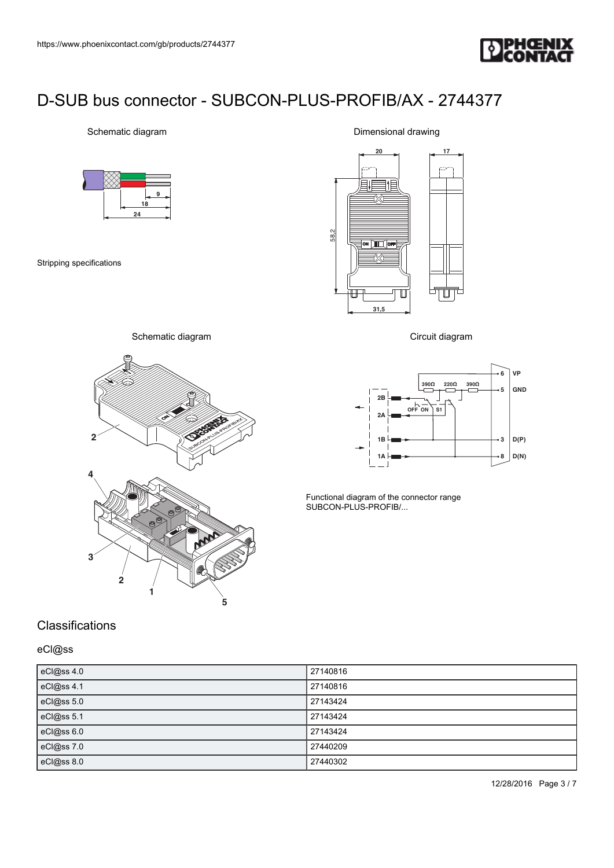

### Schematic diagram



Stripping specifications

### Dimensional drawing



Circuit diagram



Functional diagram of the connector range SUBCON-PLUS-PROFIB/...

### Schematic diagram



## **Classifications**

### eCl@ss

| eCl@ss 4.0 | 27140816 |
|------------|----------|
| eCl@ss 4.1 | 27140816 |
| eCl@ss 5.0 | 27143424 |
| eCl@ss 5.1 | 27143424 |
| eCl@ss 6.0 | 27143424 |
| eCl@ss 7.0 | 27440209 |
| eCl@ss 8.0 | 27440302 |

12/28/2016 Page 3 / 7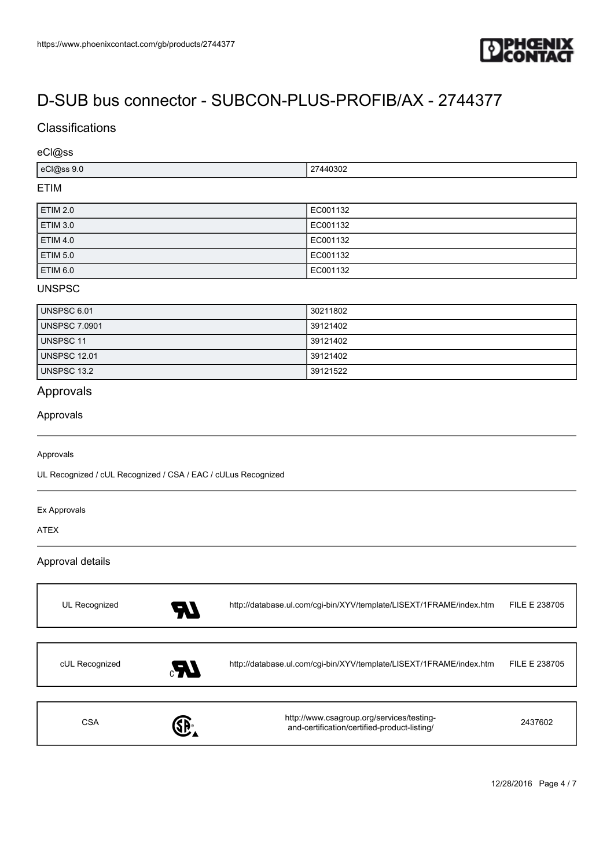

## **Classifications**

#### eCl@ss

| $\sim$<br>___ | .<br>≀≻`∩∟<br>21440302 |
|---------------|------------------------|
|               |                        |

## ETIM

| <b>ETIM 2.0</b> | EC001132 |
|-----------------|----------|
| <b>ETIM 3.0</b> | EC001132 |
| <b>ETIM 4.0</b> | EC001132 |
| <b>ETIM 5.0</b> | EC001132 |
| ETIM 6.0        | EC001132 |

#### UNSPSC

| UNSPSC 6.01   | 30211802 |
|---------------|----------|
| UNSPSC 7.0901 | 39121402 |
| UNSPSC 11     | 39121402 |
| UNSPSC 12.01  | 39121402 |
| UNSPSC 13.2   | 39121522 |

# Approvals

#### Approvals

#### Approvals

UL Recognized / cUL Recognized / CSA / EAC / cULus Recognized

#### Ex Approvals

ATEX

### Approval details

| UL Recognized  | 74  | http://database.ul.com/cgi-bin/XYV/template/LISEXT/1FRAME/index.htm                       | FILE E 238705 |
|----------------|-----|-------------------------------------------------------------------------------------------|---------------|
| cUL Recognized | AZ. | http://database.ul.com/cgi-bin/XYV/template/LISEXT/1FRAME/index.htm                       | FILE E 238705 |
| <b>CSA</b>     |     | http://www.csagroup.org/services/testing-<br>and-certification/certified-product-listing/ | 2437602       |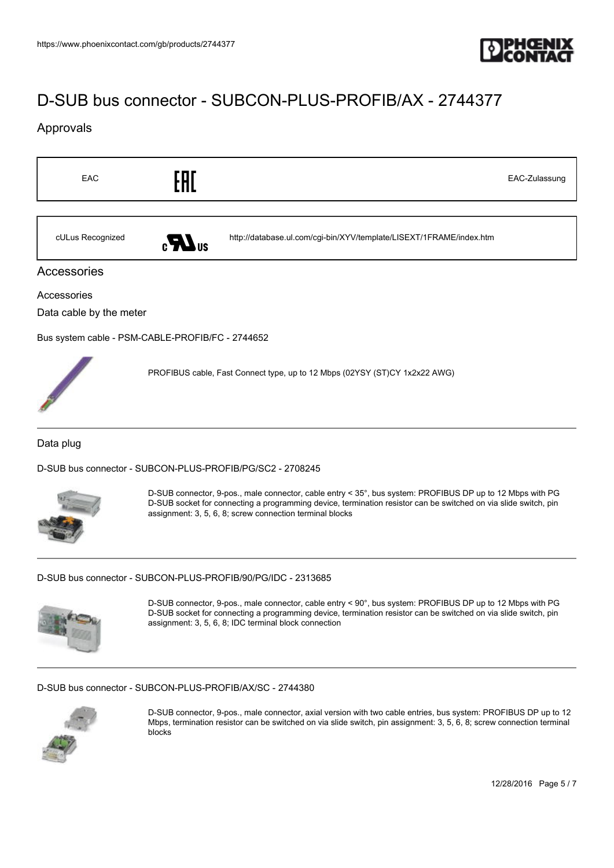

## Approvals

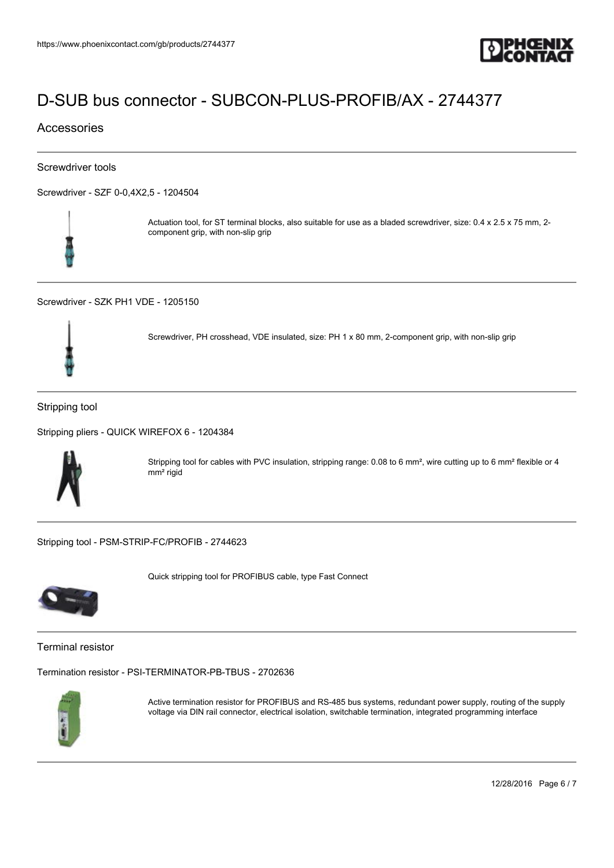

#### Accessories

#### Screwdriver tools

[Screwdriver - SZF 0-0,4X2,5 - 1204504](https://www.phoenixcontact.com/gb/products/1204504)



Actuation tool, for ST terminal blocks, also suitable for use as a bladed screwdriver, size: 0.4 x 2.5 x 75 mm, 2component grip, with non-slip grip

[Screwdriver - SZK PH1 VDE - 1205150](https://www.phoenixcontact.com/gb/products/1205150)



Screwdriver, PH crosshead, VDE insulated, size: PH 1 x 80 mm, 2-component grip, with non-slip grip

Stripping tool

[Stripping pliers - QUICK WIREFOX 6 - 1204384](https://www.phoenixcontact.com/gb/products/1204384)



Stripping tool for cables with PVC insulation, stripping range: 0.08 to 6 mm², wire cutting up to 6 mm² flexible or 4 mm² rigid

[Stripping tool - PSM-STRIP-FC/PROFIB - 2744623](https://www.phoenixcontact.com/gb/products/2744623)



Quick stripping tool for PROFIBUS cable, type Fast Connect

Terminal resistor

[Termination resistor - PSI-TERMINATOR-PB-TBUS - 2702636](https://www.phoenixcontact.com/gb/products/2702636)



Active termination resistor for PROFIBUS and RS-485 bus systems, redundant power supply, routing of the supply voltage via DIN rail connector, electrical isolation, switchable termination, integrated programming interface